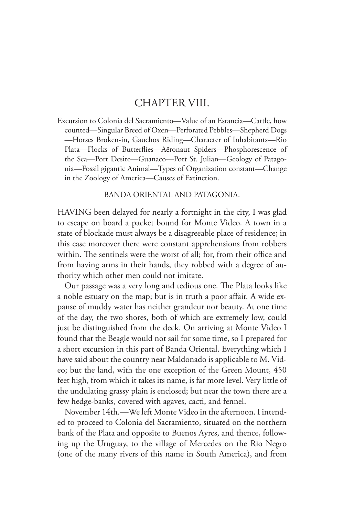## CHAPTER VIII.

Excursion to Colonia del Sacramiento—Value of an Estancia—Cattle, how counted—Singular Breed of Oxen—Perforated Pebbles—Shepherd Dogs —Horses Broken-in, Gauchos Riding—Character of Inhabitants—Rio Plata—Flocks of Butterflies—Aëronaut Spiders—Phosphorescence of the Sea—Port Desire—Guanaco—Port St. Julian—Geology of Patagonia—Fossil gigantic Animal—Types of Organization constant—Change in the Zoology of America—Causes of Extinction.

## BANDA ORIENTAL AND PATAGONIA.

HAVING been delayed for nearly a fortnight in the city, I was glad to escape on board a packet bound for Monte Video. A town in a state of blockade must always be a disagreeable place of residence; in this case moreover there were constant apprehensions from robbers within. The sentinels were the worst of all; for, from their office and from having arms in their hands, they robbed with a degree of authority which other men could not imitate.

Our passage was a very long and tedious one. The Plata looks like a noble estuary on the map; but is in truth a poor affair. A wide expanse of muddy water has neither grandeur nor beauty. At one time of the day, the two shores, both of which are extremely low, could just be distinguished from the deck. On arriving at Monte Video I found that the Beagle would not sail for some time, so I prepared for a short excursion in this part of Banda Oriental. Everything which I have said about the country near Maldonado is applicable to M. Video; but the land, with the one exception of the Green Mount, 450 feet high, from which it takes its name, is far more level. Very little of the undulating grassy plain is enclosed; but near the town there are a few hedge-banks, covered with agaves, cacti, and fennel.

November 14th.—We left Monte Video in the afternoon. I intended to proceed to Colonia del Sacramiento, situated on the northern bank of the Plata and opposite to Buenos Ayres, and thence, following up the Uruguay, to the village of Mercedes on the Rio Negro (one of the many rivers of this name in South America), and from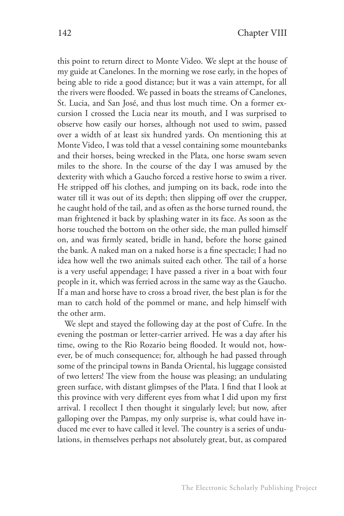this point to return direct to Monte Video. We slept at the house of my guide at Canelones. In the morning we rose early, in the hopes of being able to ride a good distance; but it was a vain attempt, for all the rivers were flooded. We passed in boats the streams of Canelones, St. Lucia, and San José, and thus lost much time. On a former excursion I crossed the Lucia near its mouth, and I was surprised to observe how easily our horses, although not used to swim, passed over a width of at least six hundred yards. On mentioning this at Monte Video, I was told that a vessel containing some mountebanks and their horses, being wrecked in the Plata, one horse swam seven miles to the shore. In the course of the day I was amused by the dexterity with which a Gaucho forced a restive horse to swim a river. He stripped off his clothes, and jumping on its back, rode into the water till it was out of its depth; then slipping off over the crupper, he caught hold of the tail, and as often as the horse turned round, the man frightened it back by splashing water in its face. As soon as the horse touched the bottom on the other side, the man pulled himself on, and was firmly seated, bridle in hand, before the horse gained the bank. A naked man on a naked horse is a fine spectacle; I had no idea how well the two animals suited each other. The tail of a horse is a very useful appendage; I have passed a river in a boat with four people in it, which was ferried across in the same way as the Gaucho. If a man and horse have to cross a broad river, the best plan is for the man to catch hold of the pommel or mane, and help himself with the other arm.

We slept and stayed the following day at the post of Cufre. In the evening the postman or letter-carrier arrived. He was a day after his time, owing to the Rio Rozario being flooded. It would not, however, be of much consequence; for, although he had passed through some of the principal towns in Banda Oriental, his luggage consisted of two letters! The view from the house was pleasing; an undulating green surface, with distant glimpses of the Plata. I find that I look at this province with very different eyes from what I did upon my first arrival. I recollect I then thought it singularly level; but now, after galloping over the Pampas, my only surprise is, what could have induced me ever to have called it level. The country is a series of undulations, in themselves perhaps not absolutely great, but, as compared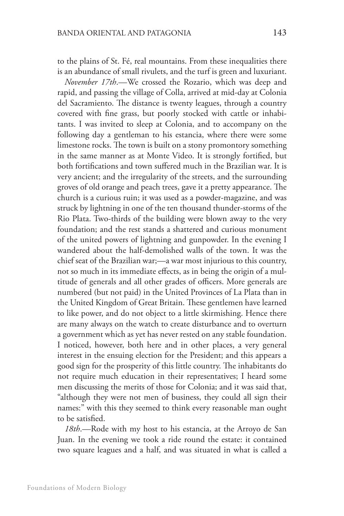to the plains of St. Fé, real mountains. From these inequalities there is an abundance of small rivulets, and the turf is green and luxuriant.

*November 17th*.—We crossed the Rozario, which was deep and rapid, and passing the village of Colla, arrived at mid-day at Colonia del Sacramiento. The distance is twenty leagues, through a country covered with fine grass, but poorly stocked with cattle or inhabitants. I was invited to sleep at Colonia, and to accompany on the following day a gentleman to his estancia, where there were some limestone rocks. The town is built on a stony promontory something in the same manner as at Monte Video. It is strongly fortified, but both fortifications and town suffered much in the Brazilian war. It is very ancient; and the irregularity of the streets, and the surrounding groves of old orange and peach trees, gave it a pretty appearance. The church is a curious ruin; it was used as a powder-magazine, and was struck by lightning in one of the ten thousand thunder-storms of the Rio Plata. Two-thirds of the building were blown away to the very foundation; and the rest stands a shattered and curious monument of the united powers of lightning and gunpowder. In the evening I wandered about the half-demolished walls of the town. It was the chief seat of the Brazilian war;—a war most injurious to this country, not so much in its immediate effects, as in being the origin of a multitude of generals and all other grades of officers. More generals are numbered (but not paid) in the United Provinces of La Plata than in the United Kingdom of Great Britain. These gentlemen have learned to like power, and do not object to a little skirmishing. Hence there are many always on the watch to create disturbance and to overturn a government which as yet has never rested on any stable foundation. I noticed, however, both here and in other places, a very general interest in the ensuing election for the President; and this appears a good sign for the prosperity of this little country. The inhabitants do not require much education in their representatives; I heard some men discussing the merits of those for Colonia; and it was said that, "although they were not men of business, they could all sign their names:" with this they seemed to think every reasonable man ought to be satisfied.

*18th*.—Rode with my host to his estancia, at the Arroyo de San Juan. In the evening we took a ride round the estate: it contained two square leagues and a half, and was situated in what is called a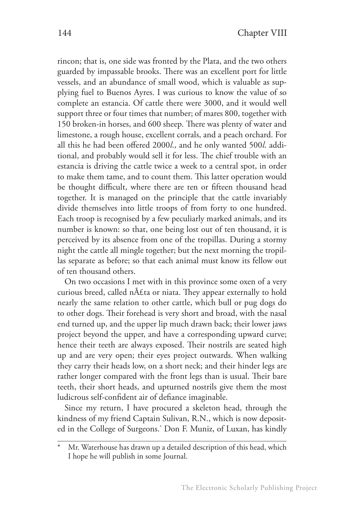rincon; that is, one side was fronted by the Plata, and the two others guarded by impassable brooks. There was an excellent port for little vessels, and an abundance of small wood, which is valuable as supplying fuel to Buenos Ayres. I was curious to know the value of so complete an estancia. Of cattle there were 3000, and it would well support three or four times that number; of mares 800, together with 150 broken-in horses, and 600 sheep. There was plenty of water and limestone, a rough house, excellent corrals, and a peach orchard. For all this he had been offered 2000*l*., and he only wanted 500*l*. additional, and probably would sell it for less. The chief trouble with an estancia is driving the cattle twice a week to a central spot, in order to make them tame, and to count them. This latter operation would be thought difficult, where there are ten or fifteen thousand head together. It is managed on the principle that the cattle invariably divide themselves into little troops of from forty to one hundred. Each troop is recognised by a few peculiarly marked animals, and its number is known: so that, one being lost out of ten thousand, it is perceived by its absence from one of the tropillas. During a stormy night the cattle all mingle together; but the next morning the tropillas separate as before; so that each animal must know its fellow out of ten thousand others.

On two occasions I met with in this province some oxen of a very curious breed, called n£ta or niata. They appear externally to hold nearly the same relation to other cattle, which bull or pug dogs do to other dogs. Their forehead is very short and broad, with the nasal end turned up, and the upper lip much drawn back; their lower jaws project beyond the upper, and have a corresponding upward curve; hence their teeth are always exposed. Their nostrils are seated high up and are very open; their eyes project outwards. When walking they carry their heads low, on a short neck; and their hinder legs are rather longer compared with the front legs than is usual. Their bare teeth, their short heads, and upturned nostrils give them the most ludicrous self-confident air of defiance imaginable.

Since my return, I have procured a skeleton head, through the kindness of my friend Captain Sulivan, R.N., which is now deposited in the College of Surgeons.\* Don F. Muniz, of Luxan, has kindly

Mr. Waterhouse has drawn up a detailed description of this head, which I hope he will publish in some Journal.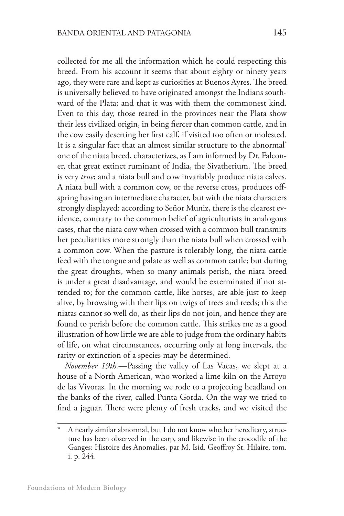collected for me all the information which he could respecting this breed. From his account it seems that about eighty or ninety years ago, they were rare and kept as curiosities at Buenos Ayres. The breed is universally believed to have originated amongst the Indians southward of the Plata; and that it was with them the commonest kind. Even to this day, those reared in the provinces near the Plata show their less civilized origin, in being fiercer than common cattle, and in the cow easily deserting her first calf, if visited too often or molested. It is a singular fact that an almost similar structure to the abnormal\* one of the niata breed, characterizes, as I am informed by Dr. Falconer, that great extinct ruminant of India, the Sivatherium. The breed is very *true*; and a niata bull and cow invariably produce niata calves. A niata bull with a common cow, or the reverse cross, produces offspring having an intermediate character, but with the niata characters strongly displayed: according to Señor Muniz, there is the clearest evidence, contrary to the common belief of agriculturists in analogous cases, that the niata cow when crossed with a common bull transmits her peculiarities more strongly than the niata bull when crossed with a common cow. When the pasture is tolerably long, the niata cattle feed with the tongue and palate as well as common cattle; but during the great droughts, when so many animals perish, the niata breed is under a great disadvantage, and would be exterminated if not attended to; for the common cattle, like horses, are able just to keep alive, by browsing with their lips on twigs of trees and reeds; this the niatas cannot so well do, as their lips do not join, and hence they are found to perish before the common cattle. This strikes me as a good illustration of how little we are able to judge from the ordinary habits of life, on what circumstances, occurring only at long intervals, the rarity or extinction of a species may be determined.

*November 19th.*—Passing the valley of Las Vacas, we slept at a house of a North American, who worked a lime-kiln on the Arroyo de las Vivoras. In the morning we rode to a projecting headland on the banks of the river, called Punta Gorda. On the way we tried to find a jaguar. There were plenty of fresh tracks, and we visited the

A nearly similar abnormal, but I do not know whether hereditary, structure has been observed in the carp, and likewise in the crocodile of the Ganges: Histoire des Anomalies, par M. Isid. Geoffroy St. Hilaire, tom. i. p. 244.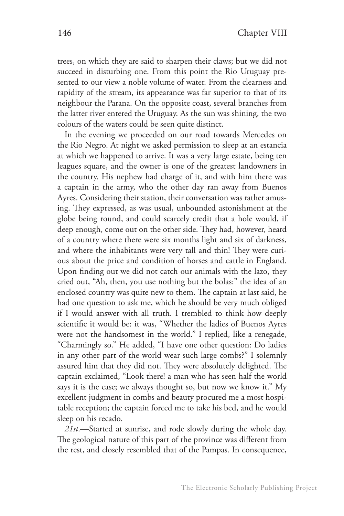trees, on which they are said to sharpen their claws; but we did not succeed in disturbing one. From this point the Rio Uruguay presented to our view a noble volume of water. From the clearness and rapidity of the stream, its appearance was far superior to that of its neighbour the Parana. On the opposite coast, several branches from the latter river entered the Uruguay. As the sun was shining, the two colours of the waters could be seen quite distinct.

In the evening we proceeded on our road towards Mercedes on the Rio Negro. At night we asked permission to sleep at an estancia at which we happened to arrive. It was a very large estate, being ten leagues square, and the owner is one of the greatest landowners in the country. His nephew had charge of it, and with him there was a captain in the army, who the other day ran away from Buenos Ayres. Considering their station, their conversation was rather amusing. They expressed, as was usual, unbounded astonishment at the globe being round, and could scarcely credit that a hole would, if deep enough, come out on the other side. They had, however, heard of a country where there were six months light and six of darkness, and where the inhabitants were very tall and thin! They were curious about the price and condition of horses and cattle in England. Upon finding out we did not catch our animals with the lazo, they cried out, "Ah, then, you use nothing but the bolas:" the idea of an enclosed country was quite new to them. The captain at last said, he had one question to ask me, which he should be very much obliged if I would answer with all truth. I trembled to think how deeply scientific it would be: it was, "Whether the ladies of Buenos Ayres were not the handsomest in the world." I replied, like a renegade, "Charmingly so." He added, "I have one other question: Do ladies in any other part of the world wear such large combs?" I solemnly assured him that they did not. They were absolutely delighted. The captain exclaimed, "Look there! a man who has seen half the world says it is the case; we always thought so, but now we know it." My excellent judgment in combs and beauty procured me a most hospitable reception; the captain forced me to take his bed, and he would sleep on his recado.

*21st*.—Started at sunrise, and rode slowly during the whole day. The geological nature of this part of the province was different from the rest, and closely resembled that of the Pampas. In consequence,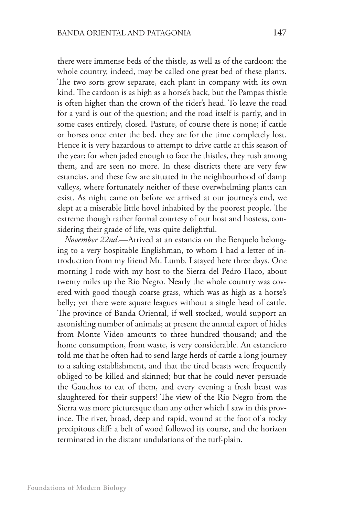there were immense beds of the thistle, as well as of the cardoon: the whole country, indeed, may be called one great bed of these plants. The two sorts grow separate, each plant in company with its own kind. The cardoon is as high as a horse's back, but the Pampas thistle is often higher than the crown of the rider's head. To leave the road for a yard is out of the question; and the road itself is partly, and in some cases entirely, closed. Pasture, of course there is none; if cattle or horses once enter the bed, they are for the time completely lost. Hence it is very hazardous to attempt to drive cattle at this season of the year; for when jaded enough to face the thistles, they rush among them, and are seen no more. In these districts there are very few estancias, and these few are situated in the neighbourhood of damp valleys, where fortunately neither of these overwhelming plants can exist. As night came on before we arrived at our journey's end, we slept at a miserable little hovel inhabited by the poorest people. The extreme though rather formal courtesy of our host and hostess, considering their grade of life, was quite delightful.

*November 22nd*.—Arrived at an estancia on the Berquelo belonging to a very hospitable Englishman, to whom I had a letter of introduction from my friend Mr. Lumb. I stayed here three days. One morning I rode with my host to the Sierra del Pedro Flaco, about twenty miles up the Rio Negro. Nearly the whole country was covered with good though coarse grass, which was as high as a horse's belly; yet there were square leagues without a single head of cattle. The province of Banda Oriental, if well stocked, would support an astonishing number of animals; at present the annual export of hides from Monte Video amounts to three hundred thousand; and the home consumption, from waste, is very considerable. An estanciero told me that he often had to send large herds of cattle a long journey to a salting establishment, and that the tired beasts were frequently obliged to be killed and skinned; but that he could never persuade the Gauchos to eat of them, and every evening a fresh beast was slaughtered for their suppers! The view of the Rio Negro from the Sierra was more picturesque than any other which I saw in this province. The river, broad, deep and rapid, wound at the foot of a rocky precipitous cliff: a belt of wood followed its course, and the horizon terminated in the distant undulations of the turf-plain.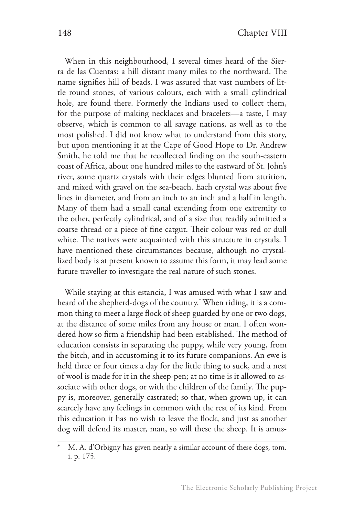When in this neighbourhood, I several times heard of the Sierra de las Cuentas: a hill distant many miles to the northward. The name signifies hill of beads. I was assured that vast numbers of little round stones, of various colours, each with a small cylindrical hole, are found there. Formerly the Indians used to collect them, for the purpose of making necklaces and bracelets—a taste, I may observe, which is common to all savage nations, as well as to the most polished. I did not know what to understand from this story, but upon mentioning it at the Cape of Good Hope to Dr. Andrew Smith, he told me that he recollected finding on the south-eastern coast of Africa, about one hundred miles to the eastward of St. John's river, some quartz crystals with their edges blunted from attrition, and mixed with gravel on the sea-beach. Each crystal was about five lines in diameter, and from an inch to an inch and a half in length. Many of them had a small canal extending from one extremity to the other, perfectly cylindrical, and of a size that readily admitted a coarse thread or a piece of fine catgut. Their colour was red or dull white. The natives were acquainted with this structure in crystals. I have mentioned these circumstances because, although no crystallized body is at present known to assume this form, it may lead some future traveller to investigate the real nature of such stones.

While staying at this estancia, I was amused with what I saw and heard of the shepherd-dogs of the country.\* When riding, it is a common thing to meet a large flock of sheep guarded by one or two dogs, at the distance of some miles from any house or man. I often wondered how so firm a friendship had been established. The method of education consists in separating the puppy, while very young, from the bitch, and in accustoming it to its future companions. An ewe is held three or four times a day for the little thing to suck, and a nest of wool is made for it in the sheep-pen; at no time is it allowed to associate with other dogs, or with the children of the family. The puppy is, moreover, generally castrated; so that, when grown up, it can scarcely have any feelings in common with the rest of its kind. From this education it has no wish to leave the flock, and just as another dog will defend its master, man, so will these the sheep. It is amus-

M. A. d'Orbigny has given nearly a similar account of these dogs, tom. i. p. 175.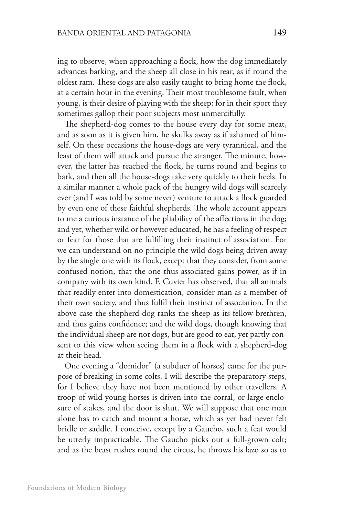ing to observe, when approaching a flock, how the dog immediately advances barking, and the sheep all close in his rear, as if round the oldest ram. These dogs are also easily taught to bring home the flock, at a certain hour in the evening. Their most troublesome fault, when young, is their desire of playing with the sheep; for in their sport they sometimes gallop their poor subjects most unmercifully.

The shepherd-dog comes to the house every day for some meat, and as soon as it is given him, he skulks away as if ashamed of himself. On these occasions the house-dogs are very tyrannical, and the least of them will attack and pursue the stranger. The minute, however, the latter has reached the flock, he turns round and begins to bark, and then all the house-dogs take very quickly to their heels. In a similar manner a whole pack of the hungry wild dogs will scarcely ever (and I was told by some never) venture to attack a flock guarded by even one of these faithful shepherds. The whole account appears to me a curious instance of the pliability of the affections in the dog; and yet, whether wild or however educated, he has a feeling of respect or fear for those that are fulfilling their instinct of association. For we can understand on no principle the wild dogs being driven away by the single one with its flock, except that they consider, from some confused notion, that the one thus associated gains power, as if in company with its own kind. F. Cuvier has observed, that all animals that readily enter into domestication, consider man as a member of their own society, and thus fulfil their instinct of association. In the above case the shepherd-dog ranks the sheep as its fellow-brethren, and thus gains confidence; and the wild dogs, though knowing that the individual sheep are not dogs, but are good to eat, yet partly consent to this view when seeing them in a flock with a shepherd-dog at their head.

One evening a "domidor" (a subduer of horses) came for the purpose of breaking-in some colts. I will describe the preparatory steps, for I believe they have not been mentioned by other travellers. A troop of wild young horses is driven into the corral, or large enclosure of stakes, and the door is shut. We will suppose that one man alone has to catch and mount a horse, which as yet had never felt bridle or saddle. I conceive, except by a Gaucho, such a feat would be utterly impracticable. The Gaucho picks out a full-grown colt; and as the beast rushes round the circus, he throws his lazo so as to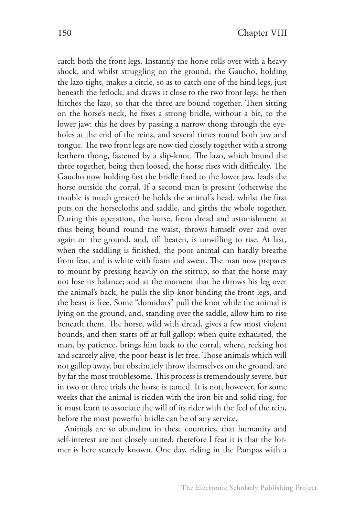catch both the front legs. Instantly the horse rolls over with a heavy shock, and whilst struggling on the ground, the Gaucho, holding the lazo tight, makes a circle, so as to catch one of the hind legs, just beneath the fetlock, and draws it close to the two front legs: he then hitches the lazo, so that the three are bound together. Then sitting on the horse's neck, he fixes a strong bridle, without a bit, to the lower jaw: this he does by passing a narrow thong through the eyeholes at the end of the reins, and several times round both jaw and tongue. The two front legs are now tied closely together with a strong leathern thong, fastened by a slip-knot. The lazo, which bound the three together, being then loosed, the horse rises with difficulty. The Gaucho now holding fast the bridle fixed to the lower jaw, leads the horse outside the corral. If a second man is present (otherwise the trouble is much greater) he holds the animal's head, whilst the first puts on the horsecloths and saddle, and girths the whole together. During this operation, the horse, from dread and astonishment at thus being bound round the waist, throws himself over and over again on the ground, and, till beaten, is unwilling to rise. At last, when the saddling is finished, the poor animal can hardly breathe from fear, and is white with foam and sweat. The man now prepares to mount by pressing heavily on the stirrup, so that the horse may not lose its balance; and at the moment that he throws his leg over the animal's back, he pulls the slip-knot binding the front legs, and the beast is free. Some "domidors" pull the knot while the animal is lying on the ground, and, standing over the saddle, allow him to rise beneath them. The horse, wild with dread, gives a few most violent bounds, and then starts off at full gallop: when quite exhausted, the man, by patience, brings him back to the corral, where, reeking hot and scarcely alive, the poor beast is let free. Those animals which will not gallop away, but obstinately throw themselves on the ground, are by far the most troublesome. This process is tremendously severe, but in two or three trials the horse is tamed. It is not, however, for some weeks that the animal is ridden with the iron bit and solid ring, for it must learn to associate the will of its rider with the feel of the rein, before the most powerful bridle can be of any service.

Animals are so abundant in these countries, that humanity and self-interest are not closely united; therefore I fear it is that the former is here scarcely known. One day, riding in the Pampas with a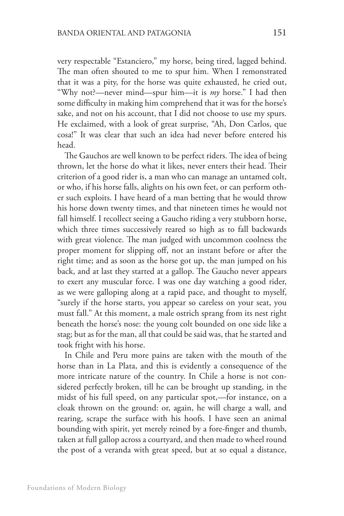very respectable "Estanciero," my horse, being tired, lagged behind. The man often shouted to me to spur him. When I remonstrated that it was a pity, for the horse was quite exhausted, he cried out, "Why not?—never mind—spur him—it is *my* horse." I had then some difficulty in making him comprehend that it was for the horse's sake, and not on his account, that I did not choose to use my spurs. He exclaimed, with a look of great surprise, "Ah, Don Carlos, que cosa!" It was clear that such an idea had never before entered his head.

The Gauchos are well known to be perfect riders. The idea of being thrown, let the horse do what it likes, never enters their head. Their criterion of a good rider is, a man who can manage an untamed colt, or who, if his horse falls, alights on his own feet, or can perform other such exploits. I have heard of a man betting that he would throw his horse down twenty times, and that nineteen times he would not fall himself. I recollect seeing a Gaucho riding a very stubborn horse, which three times successively reared so high as to fall backwards with great violence. The man judged with uncommon coolness the proper moment for slipping off, not an instant before or after the right time; and as soon as the horse got up, the man jumped on his back, and at last they started at a gallop. The Gaucho never appears to exert any muscular force. I was one day watching a good rider, as we were galloping along at a rapid pace, and thought to myself, "surely if the horse starts, you appear so careless on your seat, you must fall." At this moment, a male ostrich sprang from its nest right beneath the horse's nose: the young colt bounded on one side like a stag; but as for the man, all that could be said was, that he started and took fright with his horse.

In Chile and Peru more pains are taken with the mouth of the horse than in La Plata, and this is evidently a consequence of the more intricate nature of the country. In Chile a horse is not considered perfectly broken, till he can be brought up standing, in the midst of his full speed, on any particular spot,—for instance, on a cloak thrown on the ground: or, again, he will charge a wall, and rearing, scrape the surface with his hoofs. I have seen an animal bounding with spirit, yet merely reined by a fore-finger and thumb, taken at full gallop across a courtyard, and then made to wheel round the post of a veranda with great speed, but at so equal a distance,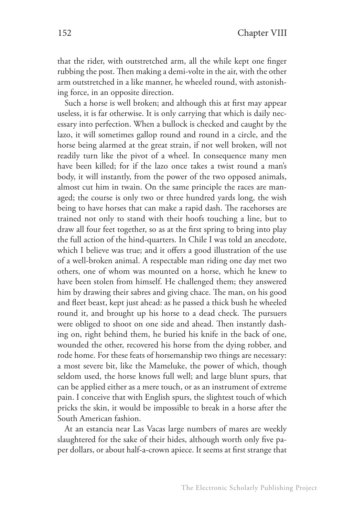that the rider, with outstretched arm, all the while kept one finger rubbing the post. Then making a demi-volte in the air, with the other arm outstretched in a like manner, he wheeled round, with astonishing force, in an opposite direction.

Such a horse is well broken; and although this at first may appear useless, it is far otherwise. It is only carrying that which is daily necessary into perfection. When a bullock is checked and caught by the lazo, it will sometimes gallop round and round in a circle, and the horse being alarmed at the great strain, if not well broken, will not readily turn like the pivot of a wheel. In consequence many men have been killed; for if the lazo once takes a twist round a man's body, it will instantly, from the power of the two opposed animals, almost cut him in twain. On the same principle the races are managed; the course is only two or three hundred yards long, the wish being to have horses that can make a rapid dash. The racehorses are trained not only to stand with their hoofs touching a line, but to draw all four feet together, so as at the first spring to bring into play the full action of the hind-quarters. In Chile I was told an anecdote, which I believe was true; and it offers a good illustration of the use of a well-broken animal. A respectable man riding one day met two others, one of whom was mounted on a horse, which he knew to have been stolen from himself. He challenged them; they answered him by drawing their sabres and giving chace. The man, on his good and fleet beast, kept just ahead: as he passed a thick bush he wheeled round it, and brought up his horse to a dead check. The pursuers were obliged to shoot on one side and ahead. Then instantly dashing on, right behind them, he buried his knife in the back of one, wounded the other, recovered his horse from the dying robber, and rode home. For these feats of horsemanship two things are necessary: a most severe bit, like the Mameluke, the power of which, though seldom used, the horse knows full well; and large blunt spurs, that can be applied either as a mere touch, or as an instrument of extreme pain. I conceive that with English spurs, the slightest touch of which pricks the skin, it would be impossible to break in a horse after the South American fashion.

At an estancia near Las Vacas large numbers of mares are weekly slaughtered for the sake of their hides, although worth only five paper dollars, or about half-a-crown apiece. It seems at first strange that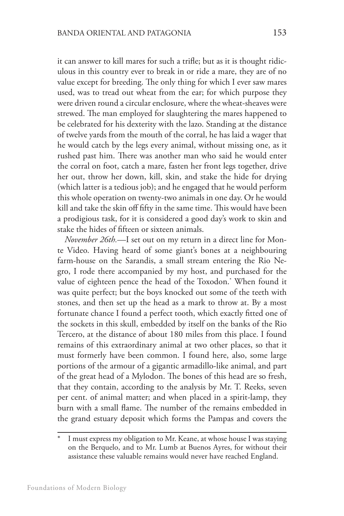it can answer to kill mares for such a trifle; but as it is thought ridiculous in this country ever to break in or ride a mare, they are of no value except for breeding. The only thing for which I ever saw mares used, was to tread out wheat from the ear; for which purpose they were driven round a circular enclosure, where the wheat-sheaves were strewed. The man employed for slaughtering the mares happened to be celebrated for his dexterity with the lazo. Standing at the distance of twelve yards from the mouth of the corral, he has laid a wager that he would catch by the legs every animal, without missing one, as it rushed past him. There was another man who said he would enter the corral on foot, catch a mare, fasten her front legs together, drive her out, throw her down, kill, skin, and stake the hide for drying (which latter is a tedious job); and he engaged that he would perform this whole operation on twenty-two animals in one day. Or he would kill and take the skin off fifty in the same time. This would have been a prodigious task, for it is considered a good day's work to skin and stake the hides of fifteen or sixteen animals.

*November 26th.*—I set out on my return in a direct line for Monte Video. Having heard of some giant's bones at a neighbouring farm-house on the Sarandis, a small stream entering the Rio Negro, I rode there accompanied by my host, and purchased for the value of eighteen pence the head of the Toxodon.\* When found it was quite perfect; but the boys knocked out some of the teeth with stones, and then set up the head as a mark to throw at. By a most fortunate chance I found a perfect tooth, which exactly fitted one of the sockets in this skull, embedded by itself on the banks of the Rio Tercero, at the distance of about 180 miles from this place. I found remains of this extraordinary animal at two other places, so that it must formerly have been common. I found here, also, some large portions of the armour of a gigantic armadillo-like animal, and part of the great head of a Mylodon. The bones of this head are so fresh, that they contain, according to the analysis by Mr. T. Reeks, seven per cent. of animal matter; and when placed in a spirit-lamp, they burn with a small flame. The number of the remains embedded in the grand estuary deposit which forms the Pampas and covers the

I must express my obligation to Mr. Keane, at whose house I was staying on the Berquelo, and to Mr. Lumb at Buenos Ayres, for without their assistance these valuable remains would never have reached England.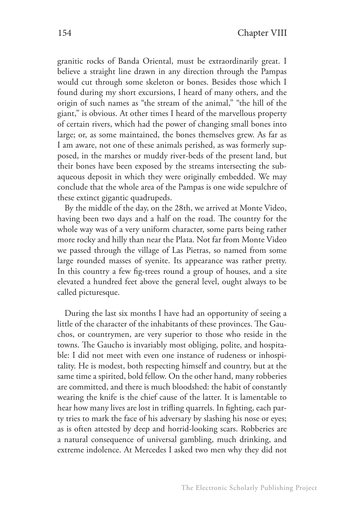granitic rocks of Banda Oriental, must be extraordinarily great. I believe a straight line drawn in any direction through the Pampas would cut through some skeleton or bones. Besides those which I found during my short excursions, I heard of many others, and the origin of such names as "the stream of the animal," "the hill of the giant," is obvious. At other times I heard of the marvellous property of certain rivers, which had the power of changing small bones into large; or, as some maintained, the bones themselves grew. As far as I am aware, not one of these animals perished, as was formerly supposed, in the marshes or muddy river-beds of the present land, but their bones have been exposed by the streams intersecting the subaqueous deposit in which they were originally embedded. We may conclude that the whole area of the Pampas is one wide sepulchre of these extinct gigantic quadrupeds.

By the middle of the day, on the 28th, we arrived at Monte Video, having been two days and a half on the road. The country for the whole way was of a very uniform character, some parts being rather more rocky and hilly than near the Plata. Not far from Monte Video we passed through the village of Las Pietras, so named from some large rounded masses of syenite. Its appearance was rather pretty. In this country a few fig-trees round a group of houses, and a site elevated a hundred feet above the general level, ought always to be called picturesque.

During the last six months I have had an opportunity of seeing a little of the character of the inhabitants of these provinces. The Gauchos, or countrymen, are very superior to those who reside in the towns. The Gaucho is invariably most obliging, polite, and hospitable: I did not meet with even one instance of rudeness or inhospitality. He is modest, both respecting himself and country, but at the same time a spirited, bold fellow. On the other hand, many robberies are committed, and there is much bloodshed: the habit of constantly wearing the knife is the chief cause of the latter. It is lamentable to hear how many lives are lost in trifling quarrels. In fighting, each party tries to mark the face of his adversary by slashing his nose or eyes; as is often attested by deep and horrid-looking scars. Robberies are a natural consequence of universal gambling, much drinking, and extreme indolence. At Mercedes I asked two men why they did not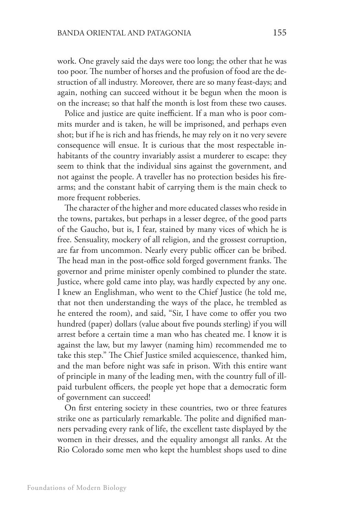work. One gravely said the days were too long; the other that he was too poor. The number of horses and the profusion of food are the destruction of all industry. Moreover, there are so many feast-days; and again, nothing can succeed without it be begun when the moon is on the increase; so that half the month is lost from these two causes.

Police and justice are quite inefficient. If a man who is poor commits murder and is taken, he will be imprisoned, and perhaps even shot; but if he is rich and has friends, he may rely on it no very severe consequence will ensue. It is curious that the most respectable inhabitants of the country invariably assist a murderer to escape: they seem to think that the individual sins against the government, and not against the people. A traveller has no protection besides his firearms; and the constant habit of carrying them is the main check to more frequent robberies.

The character of the higher and more educated classes who reside in the towns, partakes, but perhaps in a lesser degree, of the good parts of the Gaucho, but is, I fear, stained by many vices of which he is free. Sensuality, mockery of all religion, and the grossest corruption, are far from uncommon. Nearly every public officer can be bribed. The head man in the post-office sold forged government franks. The governor and prime minister openly combined to plunder the state. Justice, where gold came into play, was hardly expected by any one. I knew an Englishman, who went to the Chief Justice (he told me, that not then understanding the ways of the place, he trembled as he entered the room), and said, "Sir, I have come to offer you two hundred (paper) dollars (value about five pounds sterling) if you will arrest before a certain time a man who has cheated me. I know it is against the law, but my lawyer (naming him) recommended me to take this step." The Chief Justice smiled acquiescence, thanked him, and the man before night was safe in prison. With this entire want of principle in many of the leading men, with the country full of illpaid turbulent officers, the people yet hope that a democratic form of government can succeed!

On first entering society in these countries, two or three features strike one as particularly remarkable. The polite and dignified manners pervading every rank of life, the excellent taste displayed by the women in their dresses, and the equality amongst all ranks. At the Rio Colorado some men who kept the humblest shops used to dine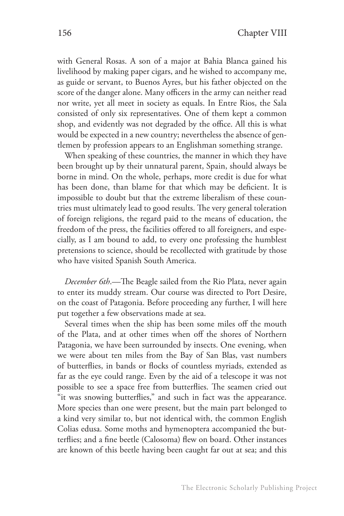with General Rosas. A son of a major at Bahia Blanca gained his livelihood by making paper cigars, and he wished to accompany me, as guide or servant, to Buenos Ayres, but his father objected on the score of the danger alone. Many officers in the army can neither read nor write, yet all meet in society as equals. In Entre Rios, the Sala consisted of only six representatives. One of them kept a common shop, and evidently was not degraded by the office. All this is what would be expected in a new country; nevertheless the absence of gentlemen by profession appears to an Englishman something strange.

When speaking of these countries, the manner in which they have been brought up by their unnatural parent, Spain, should always be borne in mind. On the whole, perhaps, more credit is due for what has been done, than blame for that which may be deficient. It is impossible to doubt but that the extreme liberalism of these countries must ultimately lead to good results. The very general toleration of foreign religions, the regard paid to the means of education, the freedom of the press, the facilities offered to all foreigners, and especially, as I am bound to add, to every one professing the humblest pretensions to science, should be recollected with gratitude by those who have visited Spanish South America.

*December 6th*.—The Beagle sailed from the Rio Plata, never again to enter its muddy stream. Our course was directed to Port Desire, on the coast of Patagonia. Before proceeding any further, I will here put together a few observations made at sea.

Several times when the ship has been some miles off the mouth of the Plata, and at other times when off the shores of Northern Patagonia, we have been surrounded by insects. One evening, when we were about ten miles from the Bay of San Blas, vast numbers of butterflies, in bands or flocks of countless myriads, extended as far as the eye could range. Even by the aid of a telescope it was not possible to see a space free from butterflies. The seamen cried out "it was snowing butterflies," and such in fact was the appearance. More species than one were present, but the main part belonged to a kind very similar to, but not identical with, the common English Colias edusa. Some moths and hymenoptera accompanied the butterflies; and a fine beetle (Calosoma) flew on board. Other instances are known of this beetle having been caught far out at sea; and this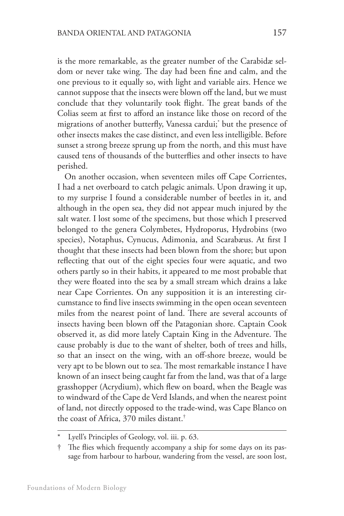is the more remarkable, as the greater number of the Carabidæ seldom or never take wing. The day had been fine and calm, and the one previous to it equally so, with light and variable airs. Hence we cannot suppose that the insects were blown off the land, but we must conclude that they voluntarily took flight. The great bands of the Colias seem at first to afford an instance like those on record of the migrations of another butterfly, Vanessa cardui;\* but the presence of other insects makes the case distinct, and even less intelligible. Before sunset a strong breeze sprung up from the north, and this must have caused tens of thousands of the butterflies and other insects to have perished.

On another occasion, when seventeen miles off Cape Corrientes, I had a net overboard to catch pelagic animals. Upon drawing it up, to my surprise I found a considerable number of beetles in it, and although in the open sea, they did not appear much injured by the salt water. I lost some of the specimens, but those which I preserved belonged to the genera Colymbetes, Hydroporus, Hydrobins (two species), Notaphus, Cynucus, Adimonia, and Scarabæus. At first I thought that these insects had been blown from the shore; but upon reflecting that out of the eight species four were aquatic, and two others partly so in their habits, it appeared to me most probable that they were floated into the sea by a small stream which drains a lake near Cape Corrientes. On any supposition it is an interesting circumstance to find live insects swimming in the open ocean seventeen miles from the nearest point of land. There are several accounts of insects having been blown off the Patagonian shore. Captain Cook observed it, as did more lately Captain King in the Adventure. The cause probably is due to the want of shelter, both of trees and hills, so that an insect on the wing, with an off-shore breeze, would be very apt to be blown out to sea. The most remarkable instance I have known of an insect being caught far from the land, was that of a large grasshopper (Acrydium), which flew on board, when the Beagle was to windward of the Cape de Verd Islands, and when the nearest point of land, not directly opposed to the trade-wind, was Cape Blanco on the coast of Africa, 370 miles distant.†

Lyell's Principles of Geology, vol. iii. p. 63.

<sup>†</sup> The flies which frequently accompany a ship for some days on its passage from harbour to harbour, wandering from the vessel, are soon lost,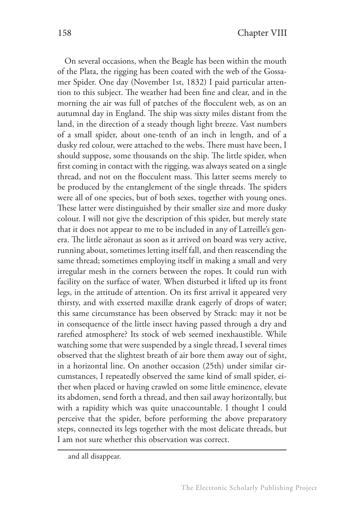On several occasions, when the Beagle has been within the mouth of the Plata, the rigging has been coated with the web of the Gossamer Spider. One day (November 1st, 1832) I paid particular attention to this subject. The weather had been fine and clear, and in the morning the air was full of patches of the flocculent web, as on an autumnal day in England. The ship was sixty miles distant from the land, in the direction of a steady though light breeze. Vast numbers of a small spider, about one-tenth of an inch in length, and of a dusky red colour, were attached to the webs. There must have been, I should suppose, some thousands on the ship. The little spider, when first coming in contact with the rigging, was always seated on a single thread, and not on the flocculent mass. This latter seems merely to be produced by the entanglement of the single threads. The spiders were all of one species, but of both sexes, together with young ones. These latter were distinguished by their smaller size and more dusky colour. I will not give the description of this spider, but merely state that it does not appear to me to be included in any of Latreille's genera. The little aëronaut as soon as it arrived on board was very active, running about, sometimes letting itself fall, and then reascending the same thread; sometimes employing itself in making a small and very irregular mesh in the corners between the ropes. It could run with facility on the surface of water. When disturbed it lifted up its front legs, in the attitude of attention. On its first arrival it appeared very thirsty, and with exserted maxillæ drank eagerly of drops of water; this same circumstance has been observed by Strack: may it not be in consequence of the little insect having passed through a dry and rarefied atmosphere? Its stock of web seemed inexhaustible. While watching some that were suspended by a single thread, I several times observed that the slightest breath of air bore them away out of sight, in a horizontal line. On another occasion (25th) under similar circumstances, I repeatedly observed the same kind of small spider, either when placed or having crawled on some little eminence, elevate its abdomen, send forth a thread, and then sail away horizontally, but with a rapidity which was quite unaccountable. I thought I could perceive that the spider, before performing the above preparatory steps, connected its legs together with the most delicate threads, but I am not sure whether this observation was correct.

and all disappear.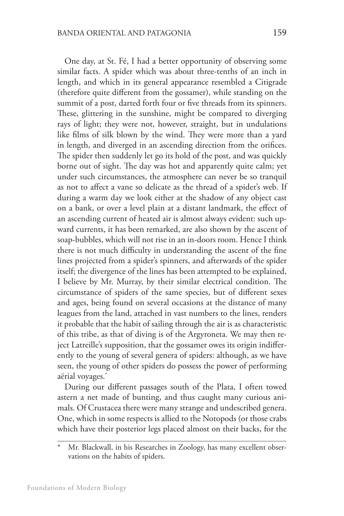One day, at St. Fé, I had a better opportunity of observing some similar facts. A spider which was about three-tenths of an inch in length, and which in its general appearance resembled a Citigrade (therefore quite different from the gossamer), while standing on the summit of a post, darted forth four or five threads from its spinners. These, glittering in the sunshine, might be compared to diverging rays of light; they were not, however, straight, but in undulations like films of silk blown by the wind. They were more than a yard in length, and diverged in an ascending direction from the orifices. The spider then suddenly let go its hold of the post, and was quickly borne out of sight. The day was hot and apparently quite calm; yet under such circumstances, the atmosphere can never be so tranquil as not to affect a vane so delicate as the thread of a spider's web. If during a warm day we look either at the shadow of any object cast on a bank, or over a level plain at a distant landmark, the effect of an ascending current of heated air is almost always evident: such upward currents, it has been remarked, are also shown by the ascent of soap-bubbles, which will not rise in an in-doors room. Hence I think there is not much difficulty in understanding the ascent of the fine lines projected from a spider's spinners, and afterwards of the spider itself; the divergence of the lines has been attempted to be explained, I believe by Mr. Murray, by their similar electrical condition. The circumstance of spiders of the same species, but of different sexes and ages, being found on several occasions at the distance of many leagues from the land, attached in vast numbers to the lines, renders it probable that the habit of sailing through the air is as characteristic of this tribe, as that of diving is of the Argyroneta. We may then reject Latreille's supposition, that the gossamer owes its origin indifferently to the young of several genera of spiders: although, as we have seen, the young of other spiders do possess the power of performing aërial voyages.\*

During our different passages south of the Plata, I often towed astern a net made of bunting, and thus caught many curious animals. Of Crustacea there were many strange and undescribed genera. One, which in some respects is allied to the Notopods (or those crabs which have their posterior legs placed almost on their backs, for the

Mr. Blackwall, in his Researches in Zoology, has many excellent observations on the habits of spiders.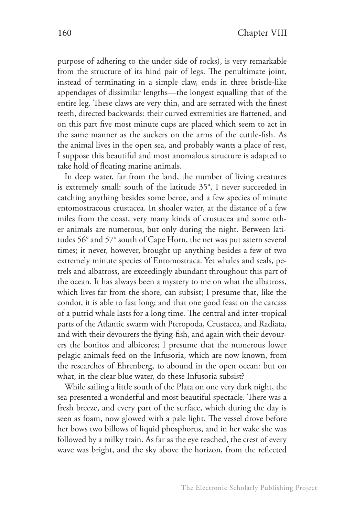purpose of adhering to the under side of rocks), is very remarkable from the structure of its hind pair of legs. The penultimate joint, instead of terminating in a simple claw, ends in three bristle-like appendages of dissimilar lengths—the longest equalling that of the entire leg. These claws are very thin, and are serrated with the finest teeth, directed backwards: their curved extremities are flattened, and on this part five most minute cups are placed which seem to act in the same manner as the suckers on the arms of the cuttle-fish. As the animal lives in the open sea, and probably wants a place of rest, I suppose this beautiful and most anomalous structure is adapted to take hold of floating marine animals.

In deep water, far from the land, the number of living creatures is extremely small: south of the latitude 35°, I never succeeded in catching anything besides some beroe, and a few species of minute entomostracous crustacea. In shoaler water, at the distance of a few miles from the coast, very many kinds of crustacea and some other animals are numerous, but only during the night. Between latitudes 56° and 57° south of Cape Horn, the net was put astern several times; it never, however, brought up anything besides a few of two extremely minute species of Entomostraca. Yet whales and seals, petrels and albatross, are exceedingly abundant throughout this part of the ocean. It has always been a mystery to me on what the albatross, which lives far from the shore, can subsist; I presume that, like the condor, it is able to fast long; and that one good feast on the carcass of a putrid whale lasts for a long time. The central and inter-tropical parts of the Atlantic swarm with Pteropoda, Crustacea, and Radiata, and with their devourers the flying-fish, and again with their devourers the bonitos and albicores; I presume that the numerous lower pelagic animals feed on the Infusoria, which are now known, from the researches of Ehrenberg, to abound in the open ocean: but on what, in the clear blue water, do these Infusoria subsist?

While sailing a little south of the Plata on one very dark night, the sea presented a wonderful and most beautiful spectacle. There was a fresh breeze, and every part of the surface, which during the day is seen as foam, now glowed with a pale light. The vessel drove before her bows two billows of liquid phosphorus, and in her wake she was followed by a milky train. As far as the eye reached, the crest of every wave was bright, and the sky above the horizon, from the reflected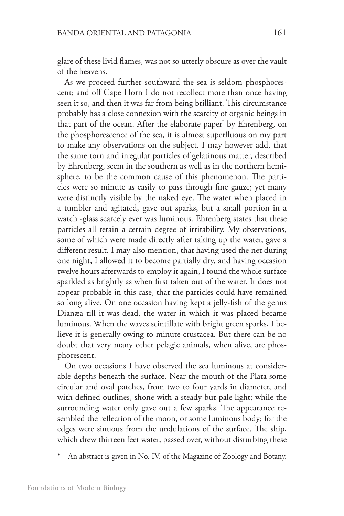glare of these livid flames, was not so utterly obscure as over the vault of the heavens.

As we proceed further southward the sea is seldom phosphorescent; and off Cape Horn I do not recollect more than once having seen it so, and then it was far from being brilliant. This circumstance probably has a close connexion with the scarcity of organic beings in that part of the ocean. After the elaborate paper\* by Ehrenberg, on the phosphorescence of the sea, it is almost superfluous on my part to make any observations on the subject. I may however add, that the same torn and irregular particles of gelatinous matter, described by Ehrenberg, seem in the southern as well as in the northern hemisphere, to be the common cause of this phenomenon. The particles were so minute as easily to pass through fine gauze; yet many were distinctly visible by the naked eye. The water when placed in a tumbler and agitated, gave out sparks, but a small portion in a watch -glass scarcely ever was luminous. Ehrenberg states that these particles all retain a certain degree of irritability. My observations, some of which were made directly after taking up the water, gave a different result. I may also mention, that having used the net during one night, I allowed it to become partially dry, and having occasion twelve hours afterwards to employ it again, I found the whole surface sparkled as brightly as when first taken out of the water. It does not appear probable in this case, that the particles could have remained so long alive. On one occasion having kept a jelly-fish of the genus Dianæa till it was dead, the water in which it was placed became luminous. When the waves scintillate with bright green sparks, I believe it is generally owing to minute crustacea. But there can be no doubt that very many other pelagic animals, when alive, are phosphorescent.

On two occasions I have observed the sea luminous at considerable depths beneath the surface. Near the mouth of the Plata some circular and oval patches, from two to four yards in diameter, and with defined outlines, shone with a steady but pale light; while the surrounding water only gave out a few sparks. The appearance resembled the reflection of the moon, or some luminous body; for the edges were sinuous from the undulations of the surface. The ship, which drew thirteen feet water, passed over, without disturbing these

An abstract is given in No. IV. of the Magazine of Zoology and Botany.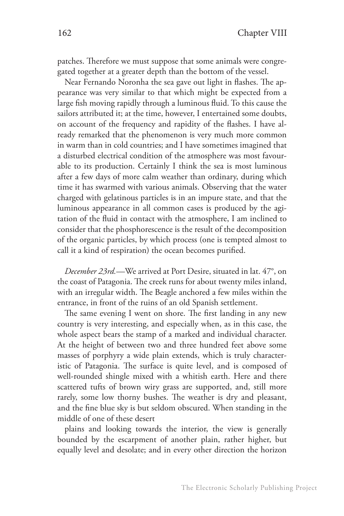patches. Therefore we must suppose that some animals were congregated together at a greater depth than the bottom of the vessel.

Near Fernando Noronha the sea gave out light in flashes. The appearance was very similar to that which might be expected from a large fish moving rapidly through a luminous fluid. To this cause the sailors attributed it; at the time, however, I entertained some doubts, on account of the frequency and rapidity of the flashes. I have already remarked that the phenomenon is very much more common in warm than in cold countries; and I have sometimes imagined that a disturbed electrical condition of the atmosphere was most favourable to its production. Certainly I think the sea is most luminous after a few days of more calm weather than ordinary, during which time it has swarmed with various animals. Observing that the water charged with gelatinous particles is in an impure state, and that the luminous appearance in all common cases is produced by the agitation of the fluid in contact with the atmosphere, I am inclined to consider that the phosphorescence is the result of the decomposition of the organic particles, by which process (one is tempted almost to call it a kind of respiration) the ocean becomes purified.

*December 23rd.*—We arrived at Port Desire, situated in lat. 47°, on the coast of Patagonia. The creek runs for about twenty miles inland, with an irregular width. The Beagle anchored a few miles within the entrance, in front of the ruins of an old Spanish settlement.

The same evening I went on shore. The first landing in any new country is very interesting, and especially when, as in this case, the whole aspect bears the stamp of a marked and individual character. At the height of between two and three hundred feet above some masses of porphyry a wide plain extends, which is truly characteristic of Patagonia. The surface is quite level, and is composed of well-rounded shingle mixed with a whitish earth. Here and there scattered tufts of brown wiry grass are supported, and, still more rarely, some low thorny bushes. The weather is dry and pleasant, and the fine blue sky is but seldom obscured. When standing in the middle of one of these desert

plains and looking towards the interior, the view is generally bounded by the escarpment of another plain, rather higher, but equally level and desolate; and in every other direction the horizon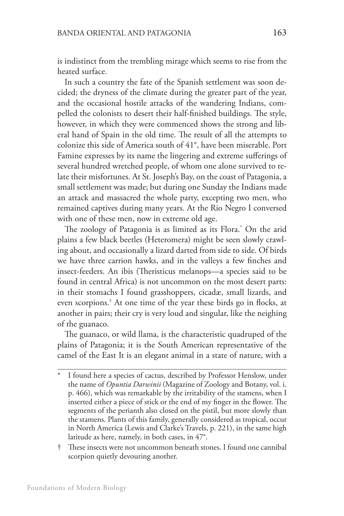is indistinct from the trembling mirage which seems to rise from the heated surface.

In such a country the fate of the Spanish settlement was soon decided; the dryness of the climate during the greater part of the year, and the occasional hostile attacks of the wandering Indians, compelled the colonists to desert their half-finished buildings. The style, however, in which they were commenced shows the strong and liberal hand of Spain in the old time. The result of all the attempts to colonize this side of America south of 41°, have been miserable. Port Famine expresses by its name the lingering and extreme sufferings of several hundred wretched people, of whom one alone survived to relate their misfortunes. At St. Joseph's Bay, on the coast of Patagonia, a small settlement was made; but during one Sunday the Indians made an attack and massacred the whole party, excepting two men, who remained captives during many years. At the Rio Negro I conversed with one of these men, now in extreme old age.

The zoology of Patagonia is as limited as its Flora.\* On the arid plains a few black beetles (Heteromera) might be seen slowly crawling about, and occasionally a lizard darted from side to side. Of birds we have three carrion hawks, and in the valleys a few finches and insect-feeders. An ibis (Theristicus melanops—a species said to be found in central Africa) is not uncommon on the most desert parts: in their stomachs I found grasshoppers, cicadæ, small lizards, and even scorpions.† At one time of the year these birds go in flocks, at another in pairs; their cry is very loud and singular, like the neighing of the guanaco.

The guanaco, or wild llama, is the characteristic quadruped of the plains of Patagonia; it is the South American representative of the camel of the East It is an elegant animal in a state of nature, with a

† These insects were not uncommon beneath stones. I found one cannibal scorpion quietly devouring another.

I found here a species of cactus, described by Professor Henslow, under the name of *Opuntia Darwinii* (Magazine of Zoology and Botany, vol. i. p. 466), which was remarkable by the irritability of the stamens, when I inserted either a piece of stick or the end of my finger in the flower. The segments of the perianth also closed on the pistil, but more slowly than the stamens. Plants of this family, generally considered as tropical, occur in North America (Lewis and Clarke's Travels, p. 221), in the same high latitude as here, namely, in both cases, in 47°.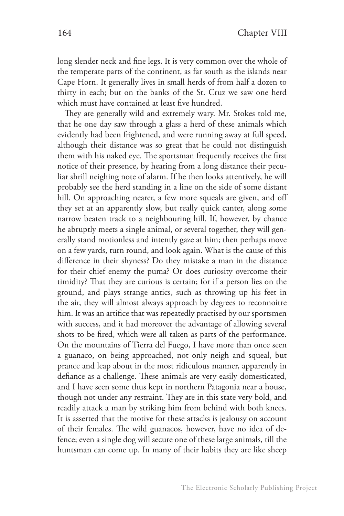long slender neck and fine legs. It is very common over the whole of the temperate parts of the continent, as far south as the islands near Cape Horn. It generally lives in small herds of from half a dozen to thirty in each; but on the banks of the St. Cruz we saw one herd which must have contained at least five hundred.

They are generally wild and extremely wary. Mr. Stokes told me, that he one day saw through a glass a herd of these animals which evidently had been frightened, and were running away at full speed, although their distance was so great that he could not distinguish them with his naked eye. The sportsman frequently receives the first notice of their presence, by hearing from a long distance their peculiar shrill neighing note of alarm. If he then looks attentively, he will probably see the herd standing in a line on the side of some distant hill. On approaching nearer, a few more squeals are given, and off they set at an apparently slow, but really quick canter, along some narrow beaten track to a neighbouring hill. If, however, by chance he abruptly meets a single animal, or several together, they will generally stand motionless and intently gaze at him; then perhaps move on a few yards, turn round, and look again. What is the cause of this difference in their shyness? Do they mistake a man in the distance for their chief enemy the puma? Or does curiosity overcome their timidity? That they are curious is certain; for if a person lies on the ground, and plays strange antics, such as throwing up his feet in the air, they will almost always approach by degrees to reconnoitre him. It was an artifice that was repeatedly practised by our sportsmen with success, and it had moreover the advantage of allowing several shots to be fired, which were all taken as parts of the performance. On the mountains of Tierra del Fuego, I have more than once seen a guanaco, on being approached, not only neigh and squeal, but prance and leap about in the most ridiculous manner, apparently in defiance as a challenge. These animals are very easily domesticated, and I have seen some thus kept in northern Patagonia near a house, though not under any restraint. They are in this state very bold, and readily attack a man by striking him from behind with both knees. It is asserted that the motive for these attacks is jealousy on account of their females. The wild guanacos, however, have no idea of defence; even a single dog will secure one of these large animals, till the huntsman can come up. In many of their habits they are like sheep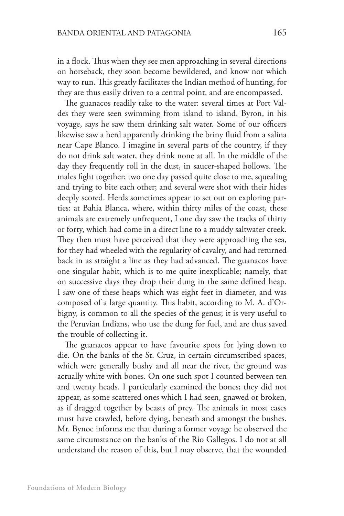in a flock. Thus when they see men approaching in several directions on horseback, they soon become bewildered, and know not which way to run. This greatly facilitates the Indian method of hunting, for they are thus easily driven to a central point, and are encompassed.

The guanacos readily take to the water: several times at Port Valdes they were seen swimming from island to island. Byron, in his voyage, says he saw them drinking salt water. Some of our officers likewise saw a herd apparently drinking the briny fluid from a salina near Cape Blanco. I imagine in several parts of the country, if they do not drink salt water, they drink none at all. In the middle of the day they frequently roll in the dust, in saucer-shaped hollows. The males fight together; two one day passed quite close to me, squealing and trying to bite each other; and several were shot with their hides deeply scored. Herds sometimes appear to set out on exploring parties: at Bahia Blanca, where, within thirty miles of the coast, these animals are extremely unfrequent, I one day saw the tracks of thirty or forty, which had come in a direct line to a muddy saltwater creek. They then must have perceived that they were approaching the sea, for they had wheeled with the regularity of cavalry, and had returned back in as straight a line as they had advanced. The guanacos have one singular habit, which is to me quite inexplicable; namely, that on successive days they drop their dung in the same defined heap. I saw one of these heaps which was eight feet in diameter, and was composed of a large quantity. This habit, according to M. A. d'Orbigny, is common to all the species of the genus; it is very useful to the Peruvian Indians, who use the dung for fuel, and are thus saved the trouble of collecting it.

The guanacos appear to have favourite spots for lying down to die. On the banks of the St. Cruz, in certain circumscribed spaces, which were generally bushy and all near the river, the ground was actually white with bones. On one such spot I counted between ten and twenty heads. I particularly examined the bones; they did not appear, as some scattered ones which I had seen, gnawed or broken, as if dragged together by beasts of prey. The animals in most cases must have crawled, before dying, beneath and amongst the bushes. Mr. Bynoe informs me that during a former voyage he observed the same circumstance on the banks of the Rio Gallegos. I do not at all understand the reason of this, but I may observe, that the wounded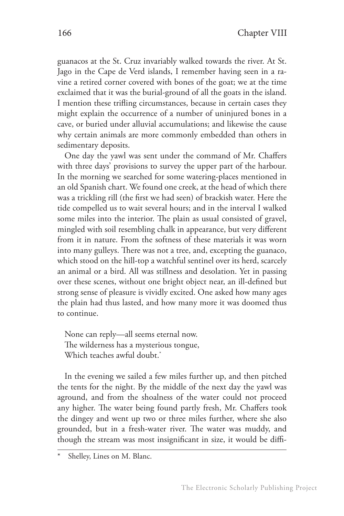guanacos at the St. Cruz invariably walked towards the river. At St. Jago in the Cape de Verd islands, I remember having seen in a ravine a retired corner covered with bones of the goat; we at the time exclaimed that it was the burial-ground of all the goats in the island. I mention these trifling circumstances, because in certain cases they might explain the occurrence of a number of uninjured bones in a cave, or buried under alluvial accumulations; and likewise the cause why certain animals are more commonly embedded than others in sedimentary deposits.

One day the yawl was sent under the command of Mr. Chaffers with three days' provisions to survey the upper part of the harbour. In the morning we searched for some watering-places mentioned in an old Spanish chart. We found one creek, at the head of which there was a trickling rill (the first we had seen) of brackish water. Here the tide compelled us to wait several hours; and in the interval I walked some miles into the interior. The plain as usual consisted of gravel, mingled with soil resembling chalk in appearance, but very different from it in nature. From the softness of these materials it was worn into many gulleys. There was not a tree, and, excepting the guanaco, which stood on the hill-top a watchful sentinel over its herd, scarcely an animal or a bird. All was stillness and desolation. Yet in passing over these scenes, without one bright object near, an ill-defined but strong sense of pleasure is vividly excited. One asked how many ages the plain had thus lasted, and how many more it was doomed thus to continue.

None can reply—all seems eternal now. The wilderness has a mysterious tongue, Which teaches awful doubt.<sup>\*</sup>

In the evening we sailed a few miles further up, and then pitched the tents for the night. By the middle of the next day the yawl was aground, and from the shoalness of the water could not proceed any higher. The water being found partly fresh, Mr. Chaffers took the dingey and went up two or three miles further, where she also grounded, but in a fresh-water river. The water was muddy, and though the stream was most insignificant in size, it would be diffi-

Shelley, Lines on M. Blanc.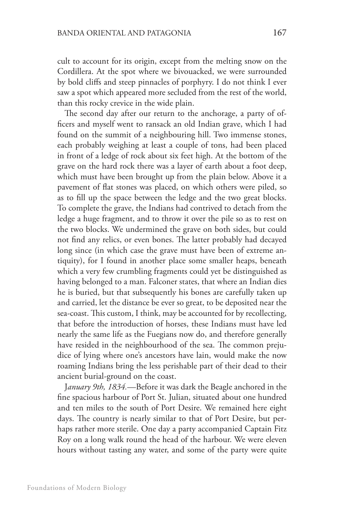cult to account for its origin, except from the melting snow on the Cordillera. At the spot where we bivouacked, we were surrounded by bold cliffs and steep pinnacles of porphyry. I do not think I ever saw a spot which appeared more secluded from the rest of the world, than this rocky crevice in the wide plain.

The second day after our return to the anchorage, a party of officers and myself went to ransack an old Indian grave, which I had found on the summit of a neighbouring hill. Two immense stones, each probably weighing at least a couple of tons, had been placed in front of a ledge of rock about six feet high. At the bottom of the grave on the hard rock there was a layer of earth about a foot deep, which must have been brought up from the plain below. Above it a pavement of flat stones was placed, on which others were piled, so as to fill up the space between the ledge and the two great blocks. To complete the grave, the Indians had contrived to detach from the ledge a huge fragment, and to throw it over the pile so as to rest on the two blocks. We undermined the grave on both sides, but could not find any relics, or even bones. The latter probably had decayed long since (in which case the grave must have been of extreme antiquity), for I found in another place some smaller heaps, beneath which a very few crumbling fragments could yet be distinguished as having belonged to a man. Falconer states, that where an Indian dies he is buried, but that subsequently his bones are carefully taken up and carried, let the distance be ever so great, to be deposited near the sea-coast. This custom, I think, may be accounted for by recollecting, that before the introduction of horses, these Indians must have led nearly the same life as the Fuegians now do, and therefore generally have resided in the neighbourhood of the sea. The common prejudice of lying where one's ancestors have lain, would make the now roaming Indians bring the less perishable part of their dead to their ancient burial-ground on the coast.

J*anuary 9th, 1834.*—Before it was dark the Beagle anchored in the fine spacious harbour of Port St. Julian, situated about one hundred and ten miles to the south of Port Desire. We remained here eight days. The country is nearly similar to that of Port Desire, but perhaps rather more sterile. One day a party accompanied Captain Fitz Roy on a long walk round the head of the harbour. We were eleven hours without tasting any water, and some of the party were quite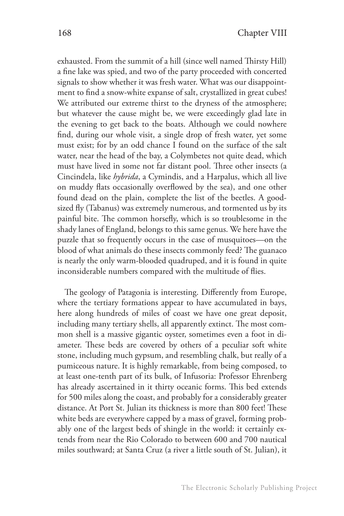exhausted. From the summit of a hill (since well named Thirsty Hill) a fine lake was spied, and two of the party proceeded with concerted signals to show whether it was fresh water. What was our disappointment to find a snow-white expanse of salt, crystallized in great cubes! We attributed our extreme thirst to the dryness of the atmosphere; but whatever the cause might be, we were exceedingly glad late in the evening to get back to the boats. Although we could nowhere find, during our whole visit, a single drop of fresh water, yet some must exist; for by an odd chance I found on the surface of the salt water, near the head of the bay, a Colymbetes not quite dead, which must have lived in some not far distant pool. Three other insects (a Cincindela, like *hybrida*, a Cymindis, and a Harpalus, which all live on muddy flats occasionally overflowed by the sea), and one other found dead on the plain, complete the list of the beetles. A goodsized fly (Tabanus) was extremely numerous, and tormented us by its painful bite. The common horsefly, which is so troublesome in the shady lanes of England, belongs to this same genus. We here have the puzzle that so frequently occurs in the case of musquitoes—on the blood of what animals do these insects commonly feed? The guanaco is nearly the only warm-blooded quadruped, and it is found in quite inconsiderable numbers compared with the multitude of flies.

The geology of Patagonia is interesting. Differently from Europe, where the tertiary formations appear to have accumulated in bays, here along hundreds of miles of coast we have one great deposit, including many tertiary shells, all apparently extinct. The most common shell is a massive gigantic oyster, sometimes even a foot in diameter. These beds are covered by others of a peculiar soft white stone, including much gypsum, and resembling chalk, but really of a pumiceous nature. It is highly remarkable, from being composed, to at least one-tenth part of its bulk, of Infusoria: Professor Ehrenberg has already ascertained in it thirty oceanic forms. This bed extends for 500 miles along the coast, and probably for a considerably greater distance. At Port St. Julian its thickness is more than 800 feet! These white beds are everywhere capped by a mass of gravel, forming probably one of the largest beds of shingle in the world: it certainly extends from near the Rio Colorado to between 600 and 700 nautical miles southward; at Santa Cruz (a river a little south of St. Julian), it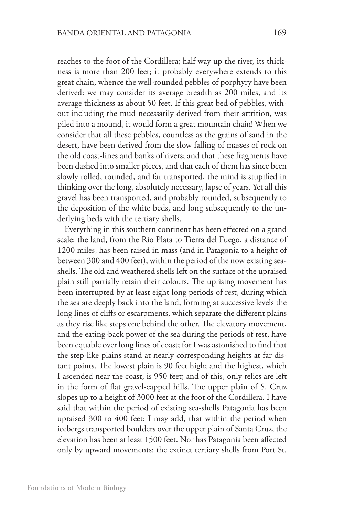reaches to the foot of the Cordillera; half way up the river, its thickness is more than 200 feet; it probably everywhere extends to this great chain, whence the well-rounded pebbles of porphyry have been derived: we may consider its average breadth as 200 miles, and its average thickness as about 50 feet. If this great bed of pebbles, without including the mud necessarily derived from their attrition, was piled into a mound, it would form a great mountain chain! When we consider that all these pebbles, countless as the grains of sand in the desert, have been derived from the slow falling of masses of rock on the old coast-lines and banks of rivers; and that these fragments have been dashed into smaller pieces, and that each of them has since been slowly rolled, rounded, and far transported, the mind is stupified in thinking over the long, absolutely necessary, lapse of years. Yet all this gravel has been transported, and probably rounded, subsequently to the deposition of the white beds, and long subsequently to the underlying beds with the tertiary shells.

Everything in this southern continent has been effected on a grand scale: the land, from the Rio Plata to Tierra del Fuego, a distance of 1200 miles, has been raised in mass (and in Patagonia to a height of between 300 and 400 feet), within the period of the now existing seashells. The old and weathered shells left on the surface of the upraised plain still partially retain their colours. The uprising movement has been interrupted by at least eight long periods of rest, during which the sea ate deeply back into the land, forming at successive levels the long lines of cliffs or escarpments, which separate the different plains as they rise like steps one behind the other. The elevatory movement, and the eating-back power of the sea during the periods of rest, have been equable over long lines of coast; for I was astonished to find that the step-like plains stand at nearly corresponding heights at far distant points. The lowest plain is 90 feet high; and the highest, which I ascended near the coast, is 950 feet; and of this, only relics are left in the form of flat gravel-capped hills. The upper plain of S. Cruz slopes up to a height of 3000 feet at the foot of the Cordillera. I have said that within the period of existing sea-shells Patagonia has been upraised 300 to 400 feet: I may add, that within the period when icebergs transported boulders over the upper plain of Santa Cruz, the elevation has been at least 1500 feet. Nor has Patagonia been affected only by upward movements: the extinct tertiary shells from Port St.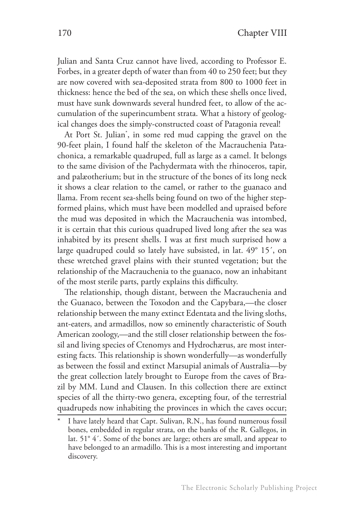Julian and Santa Cruz cannot have lived, according to Professor E. Forbes, in a greater depth of water than from 40 to 250 feet; but they are now covered with sea-deposited strata from 800 to 1000 feet in thickness: hence the bed of the sea, on which these shells once lived, must have sunk downwards several hundred feet, to allow of the accumulation of the superincumbent strata. What a history of geological changes does the simply-constructed coast of Patagonia reveal!

At Port St. Julian\* , in some red mud capping the gravel on the 90-feet plain, I found half the skeleton of the Macrauchenia Patachonica, a remarkable quadruped, full as large as a camel. It belongs to the same division of the Pachydermata with the rhinoceros, tapir, and palæotherium; but in the structure of the bones of its long neck it shows a clear relation to the camel, or rather to the guanaco and llama. From recent sea-shells being found on two of the higher stepformed plains, which must have been modelled and upraised before the mud was deposited in which the Macrauchenia was intombed, it is certain that this curious quadruped lived long after the sea was inhabited by its present shells. I was at first much surprised how a large quadruped could so lately have subsisted, in lat. 49° 15´, on these wretched gravel plains with their stunted vegetation; but the relationship of the Macrauchenia to the guanaco, now an inhabitant of the most sterile parts, partly explains this difficulty.

The relationship, though distant, between the Macrauchenia and the Guanaco, between the Toxodon and the Capybara,—the closer relationship between the many extinct Edentata and the living sloths, ant-eaters, and armadillos, now so eminently characteristic of South American zoology,—and the still closer relationship between the fossil and living species of Ctenomys and Hydrochærus, are most interesting facts. This relationship is shown wonderfully—as wonderfully as between the fossil and extinct Marsupial animals of Australia—by the great collection lately brought to Europe from the caves of Brazil by MM. Lund and Clausen. In this collection there are extinct species of all the thirty-two genera, excepting four, of the terrestrial quadrupeds now inhabiting the provinces in which the caves occur;

I have lately heard that Capt. Sulivan, R.N., has found numerous fossil bones, embedded in regular strata, on the banks of the R. Gallegos, in lat. 51° 4´. Some of the bones are large; others are small, and appear to have belonged to an armadillo. This is a most interesting and important discovery.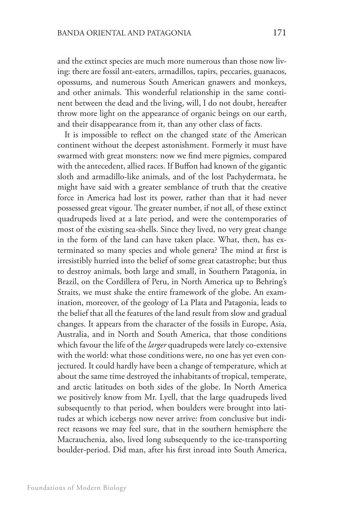and the extinct species are much more numerous than those now living: there are fossil ant-eaters, armadillos, tapirs, peccaries, guanacos, opossums, and numerous South American gnawers and monkeys, and other animals. This wonderful relationship in the same continent between the dead and the living, will, I do not doubt, hereafter throw more light on the appearance of organic beings on our earth, and their disappearance from it, than any other class of facts.

It is impossible to reflect on the changed state of the American continent without the deepest astonishment. Formerly it must have swarmed with great monsters: now we find mere pigmies, compared with the antecedent, allied races. If Buffon had known of the gigantic sloth and armadillo-like animals, and of the lost Pachydermata, he might have said with a greater semblance of truth that the creative force in America had lost its power, rather than that it had never possessed great vigour. The greater number, if not all, of these extinct quadrupeds lived at a late period, and were the contemporaries of most of the existing sea-shells. Since they lived, no very great change in the form of the land can have taken place. What, then, has exterminated so many species and whole genera? The mind at first is irresistibly hurried into the belief of some great catastrophe; but thus to destroy animals, both large and small, in Southern Patagonia, in Brazil, on the Cordillera of Peru, in North America up to Behring's Straits, we must shake the entire framework of the globe. An examination, moreover, of the geology of La Plata and Patagonia, leads to the belief that all the features of the land result from slow and gradual changes. It appears from the character of the fossils in Europe, Asia, Australia, and in North and South America, that those conditions which favour the life of the *larger* quadrupeds were lately co-extensive with the world: what those conditions were, no one has yet even conjectured. It could hardly have been a change of temperature, which at about the same time destroyed the inhabitants of tropical, temperate, and arctic latitudes on both sides of the globe. In North America we positively know from Mr. Lyell, that the large quadrupeds lived subsequently to that period, when boulders were brought into latitudes at which icebergs now never arrive: from conclusive but indirect reasons we may feel sure, that in the southern hemisphere the Macrauchenia, also, lived long subsequently to the ice-transporting boulder-period. Did man, after his first inroad into South America,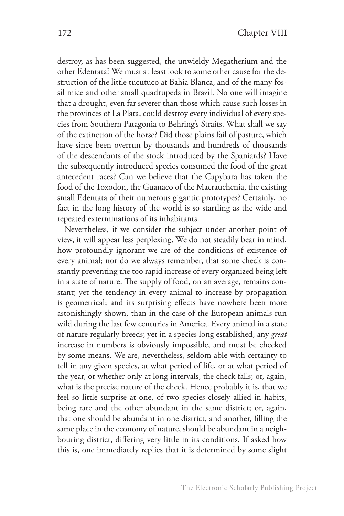destroy, as has been suggested, the unwieldy Megatherium and the other Edentata? We must at least look to some other cause for the destruction of the little tucutuco at Bahia Blanca, and of the many fossil mice and other small quadrupeds in Brazil. No one will imagine that a drought, even far severer than those which cause such losses in the provinces of La Plata, could destroy every individual of every species from Southern Patagonia to Behring's Straits. What shall we say of the extinction of the horse? Did those plains fail of pasture, which have since been overrun by thousands and hundreds of thousands of the descendants of the stock introduced by the Spaniards? Have the subsequently introduced species consumed the food of the great antecedent races? Can we believe that the Capybara has taken the food of the Toxodon, the Guanaco of the Macrauchenia, the existing small Edentata of their numerous gigantic prototypes? Certainly, no fact in the long history of the world is so startling as the wide and repeated exterminations of its inhabitants.

Nevertheless, if we consider the subject under another point of view, it will appear less perplexing. We do not steadily bear in mind, how profoundly ignorant we are of the conditions of existence of every animal; nor do we always remember, that some check is constantly preventing the too rapid increase of every organized being left in a state of nature. The supply of food, on an average, remains constant; yet the tendency in every animal to increase by propagation is geometrical; and its surprising effects have nowhere been more astonishingly shown, than in the case of the European animals run wild during the last few centuries in America. Every animal in a state of nature regularly breeds; yet in a species long established, any *great*  increase in numbers is obviously impossible, and must be checked by some means. We are, nevertheless, seldom able with certainty to tell in any given species, at what period of life, or at what period of the year, or whether only at long intervals, the check falls; or, again, what is the precise nature of the check. Hence probably it is, that we feel so little surprise at one, of two species closely allied in habits, being rare and the other abundant in the same district; or, again, that one should be abundant in one district, and another, filling the same place in the economy of nature, should be abundant in a neighbouring district, differing very little in its conditions. If asked how this is, one immediately replies that it is determined by some slight